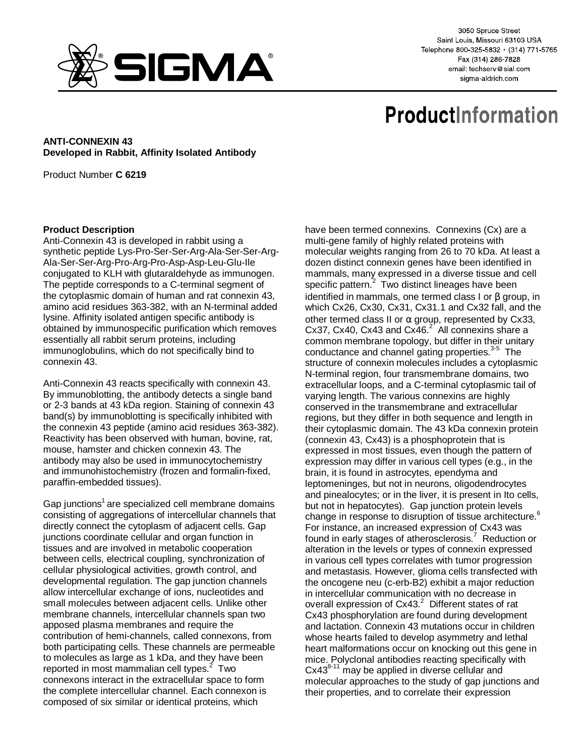

3050 Spruce Street Saint Louis, Missouri 63103 USA Telephone 800-325-5832 · (314) 771-5765 Fax (314) 286-7828 email: techserv@sial.com sigma-aldrich.com

# **ProductInformation**

# **ANTI-CONNEXIN 43 Developed in Rabbit, Affinity Isolated Antibody**

Product Number **C 6219**

# **Product Description**

Anti-Connexin 43 is developed in rabbit using a synthetic peptide Lys-Pro-Ser-Ser-Arg-Ala-Ser-Ser-Arg-Ala-Ser-Ser-Arg-Pro-Arg-Pro-Asp-Asp-Leu-Glu-Ile conjugated to KLH with glutaraldehyde as immunogen. The peptide corresponds to a C-terminal segment of the cytoplasmic domain of human and rat connexin 43, amino acid residues 363-382, with an N-terminal added lysine. Affinity isolated antigen specific antibody is obtained by immunospecific purification which removes essentially all rabbit serum proteins, including immunoglobulins, which do not specifically bind to connexin 43.

Anti-Connexin 43 reacts specifically with connexin 43. By immunoblotting, the antibody detects a single band or 2-3 bands at 43 kDa region. Staining of connexin 43 band(s) by immunoblotting is specifically inhibited with the connexin 43 peptide (amino acid residues 363-382). Reactivity has been observed with human, bovine, rat, mouse, hamster and chicken connexin 43. The antibody may also be used in immunocytochemistry and immunohistochemistry (frozen and formalin-fixed, paraffin-embedded tissues).

Gap junctions $<sup>1</sup>$  are specialized cell membrane domains</sup> consisting of aggregations of intercellular channels that directly connect the cytoplasm of adjacent cells. Gap junctions coordinate cellular and organ function in tissues and are involved in metabolic cooperation between cells, electrical coupling, synchronization of cellular physiological activities, growth control, and developmental regulation. The gap junction channels allow intercellular exchange of ions, nucleotides and small molecules between adjacent cells. Unlike other membrane channels, intercellular channels span two apposed plasma membranes and require the contribution of hemi-channels, called connexons, from both participating cells. These channels are permeable to molecules as large as 1 kDa, and they have been reported in most mammalian cell types.<sup>2</sup> Two connexons interact in the extracellular space to form the complete intercellular channel. Each connexon is composed of six similar or identical proteins, which

have been termed connexins. Connexins (Cx) are a multi-gene family of highly related proteins with molecular weights ranging from 26 to 70 kDa. At least a dozen distinct connexin genes have been identified in mammals, many expressed in a diverse tissue and cell specific pattern.<sup>2</sup> Two distinct lineages have been identified in mammals, one termed class I or β group, in which Cx26, Cx30, Cx31, Cx31.1 and Cx32 fall, and the other termed class II or  $\alpha$  group, represented by Cx33, Cx37, Cx40, Cx43 and Cx46. $2^{1}$  All connexins share a common membrane topology, but differ in their unitary conductance and channel gating properties.<sup>3-5</sup> The structure of connexin molecules includes a cytoplasmic N-terminal region, four transmembrane domains, two extracellular loops, and a C-terminal cytoplasmic tail of varying length. The various connexins are highly conserved in the transmembrane and extracellular regions, but they differ in both sequence and length in their cytoplasmic domain. The 43 kDa connexin protein (connexin 43, Cx43) is a phosphoprotein that is expressed in most tissues, even though the pattern of expression may differ in various cell types (e.g., in the brain, it is found in astrocytes, ependyma and leptomeninges, but not in neurons, oligodendrocytes and pinealocytes; or in the liver, it is present in Ito cells, but not in hepatocytes). Gap junction protein levels change in response to disruption of tissue architecture.<sup>6</sup> For instance, an increased expression of Cx43 was found in early stages of atherosclerosis.<sup>7</sup> Reduction or alteration in the levels or types of connexin expressed in various cell types correlates with tumor progression and metastasis. However, glioma cells transfected with the oncogene neu (c-erb-B2) exhibit a major reduction in intercellular communication with no decrease in overall expression of  $Cx$ 43. $^2$  Different states of rat Cx43 phosphorylation are found during development and lactation. Connexin 43 mutations occur in children whose hearts failed to develop asymmetry and lethal heart malformations occur on knocking out this gene in mice. Polyclonal antibodies reacting specifically with  $Cx43<sup>8-11</sup>$  may be applied in diverse cellular and molecular approaches to the study of gap junctions and their properties, and to correlate their expression